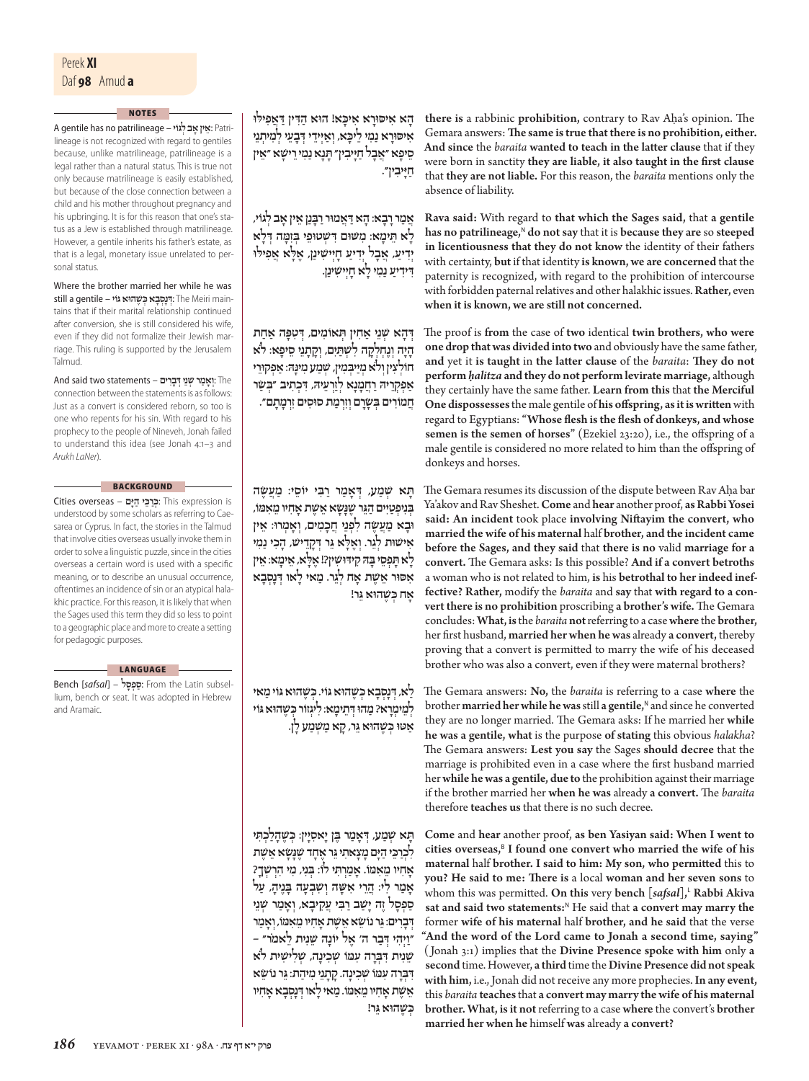# Perek **XI** Daf **98** Amud **a**

## **NOTES**

 A gentile has no patrilineage – **גוֹיּלְ אבָ איןֵ**: Patrilineage is not recognized with regard to gentiles because, unlike matrilineage, patrilineage is a legal rather than a natural status. This is true not only because matrilineage is easily established, but because of the close connection between a child and his mother throughout pregnancy and his upbringing. It is for this reason that one's status as a Jew is established through matrilineage. However, a gentile inherits his father's estate, as that is a legal, monetary issue unrelated to personal status.

 Where the brother married her while he was **ּכֶׁש ּהוא ּגוֹי** – gentile a still **ְ באָסְנָדּ ְ**: The Meiri maintains that if their marital relationship continued after conversion, she is still considered his wife, even if they did not formalize their Jewish marriage. This ruling is supported by the Jerusalem Talmud.

 The **ְ**:**וָאַמר ׁ ְשֵני ְ ּדָבִרים** – statements two said And connection between the statements is as follows: Just as a convert is considered reborn, so too is one who repents for his sin. With regard to his prophecy to the people of Nineveh, Jonah failed to understand this idea (see Jonah 4:1–3 and *Arukh LaNer*).

### **BACKGROUND**

**ּכַרֵּכי ַהָיּם** – overseas Cities **ְ** : This expression is understood by some scholars as referring to Caesarea or Cyprus. In fact, the stories in the Talmud that involve cities overseas usually invoke them in order to solve a linguistic puzzle, since in the cities overseas a certain word is used with a specific meaning, or to describe an unusual occurrence, oftentimes an incidence of sin or an atypical halakhic practice. For this reason, it is likely that when the Sages used this term they did so less to point to a geographic place and more to create a setting for pedagogic purposes.

#### **LANGUAGE**

 Bench [*safsal*] – **סלָפְ סַ**: From the Latin subsellium, bench or seat. It was adopted in Hebrew and Aramaic.

**ּיכא! ּהוא ַהִ ּדין ַּדֲא ִפ ּילּו ָהא ִא ּיסּוָרא ִא ָ ּיכא, ְוַאְיּ ֵידי ְ ּדָבֵעי ְל ִמ ְיתֵני ִא ּיסּוָרא ַנִמי ֵל ָ ֵס ָיפא ֲ״אָבל ַחָיּ ִיבין״ ָּתָנאַנִמיֵר ָׁ ישא ֵ״אין ַחָיּ ִיבין״.**

**ֲאַמרָרָבא: ָהאַּדֲא ּמורַרָּבַנן ֵאין ָאב ְלגוֹי, ָלא ֵּת ָימא: ִמּׁשּום ִ ּד ׁ ְש ּטוֵפי ְּבִז ָּמה ְ ּדָלא ּלא ֲא ִפ ּיל ּו ְיִד יע, ֲאָבל ְיִד יע ָחְי ׁ ִ יש ַינן, ֶאָ ִ ּד ִיד יע ַנִמי ָלא ָחְי ׁ ִ יש ַינן.** 

**ְ ּדָהא ׁ ְשֵני ַא ִחין ְּת ִאוֹמים, ְ ּד ִט ָּפה ַאַחת ָהָיה ְוֶנ ְח ְלָקה ִל ׁ ְשַּתִים, ְוָקָתֵני ֵס ָיפא: לֹא ְחוֹל ִצין ְולֹא ְמַי ְּיב ִמין, ׁ ְשַמע ִמ ָּינ ּה: ַא ְפ ּקוֵרי ַא ְפ ְקֵר ּיה ַרֲחָמָנא ְלַזְרֵע ּיה, ִ ּד ְכ ִתיב ְּ״ב ַׂשר ֲח ִמוֹרים ְּב ָׂשָרם ְוִזְרַמת ּסו ִסים ִזְרָמָתם״.**

**ָּתא ׁ ְשַמע, ְ ּדָאַמר ַרִּבי ֵ יוֹסי: ַמֲע ֶׂשה ְּבִנ ְיפַטִיים ַהֵּגר ֶׁשָּנָׂשא ֵאֶׁשת ָא ִחיו ֵמ ִא ּמוֹ, ּוָבא ַמֲע ֶׂשה ִל ְפֵני ֲחָכ ִמים, ְוָא ְמ ּרו: ֵאין ּלא ֵּגר ְ ּדָקֵד ׁיש, ָה ִכי ַנִמי ִא ׁישּות ְלֵגר. ְוֶאָ ָלא ָּתְפֵסי ָּב ּה ִק ּידּו ׁ ִשין?! ֶאָּלא, ֵא ָימא: ֵאין ִא ּסּור ֵאֶׁשת ָאח ְלֵגר. ַמאי ָלאו ְ ּדָנְסָבא ּכֶׁש ּהואֵּגר! ָאח ְ**

**ּכֶׁש ּהוא ּגוֹי ַמאי ּכֶׁש ּהוא ּגוֹי. ְ ַלא, ְ ּדָנְסָבא ְ ּכֶׁש ּהוא ּגוֹי ְלֵמ ְימָרא? ַמ ּהו ְ ּדֵת ָימא: ִל ְיגזוֹר ְ ּכֶׁש ּהואֵּגר, ָקא ַמׁ ְשַמע ָלן. ַא ּטּו ְ**

**ּכֶׁשָהַל ְכ ִּתי ָּתא ׁ ְשַמע, ְ ּדָאַמר ֶּבן ָי ִאסָיין: ְ ּכי ַהָיּם ָמָצ ִאתיֵּגר ֶאָחד ֶׁשָּנָׂשא ֵאֶׁשת ִל ְכַרֵ ָא ִחיו ֵמ ִא ּמוֹ. ָאַמְרִּתי לוֹ: ְּבִני, ִמי ִהְרׁ ְשָך? ָאַמר ִלי: ֲהֵרי ִאָּׁשה ְו ׁ ִשְבָעה ָּבֶנ ָיה, ַעל ַס ְפָסל ֶזה ָיַׁשב ַרִּבי ֲע ִק ָיבא, ְוָאַמר ׁ ְשֵני ְ ּדָבִרים: ֵּגר ֵׂ נוֹשא ֵאֶׁשת ָא ִחיו ֵמ ִא ּמוֹ, ְוָאַמר ַ״וְי ִהי ְ ּדַבר ה׳ ֶאל ָ יוֹנה ֵׁשִנית ֵלאמֹר״ – ֵׁשִנית ִ ּד ְּבָרה ִע ּמוֹ ׁ ְשִכ ָינה, ׁ ְשִל ׁ ִ ישית לֹא ִ ּד ְּבָרה ִע ּמוֹ ׁ ְשִכ ָינה. ָקָתֵני ִמ ַיהת: ֵּגר ֵׂ נוֹשא ֵאֶׁשת ָא ִחיו ֵמ ִא ּמוֹ. ַמאי ָלאו ְ ּדָנְסָבא ָא ִחיו ּכֶׁש ּהואֵּגר! ְ** there is a rabbinic prohibition, contrary to Rav Aḥa's opinion. The Gemara answers: **Th e same is true that there is no prohibition, either.**  And since the *baraita* wanted to teach in the latter clause that if they were born in sanctity they are liable, it also taught in the first clause that **they are not liable.** For this reason, the *baraita* mentions only the absence of liability.

**Rava said:** With regard to **that which the Sages said,** that **a gentile**  has no patrilineage,<sup>N</sup> do not say that it is because they are so steeped **in licentiousness that they do not know** the identity of their fathers with certainty, **but** if that identity **is known, we are concerned** that the paternity is recognized, with regard to the prohibition of intercourse with forbidden paternal relatives and other halakhic issues. **Rather,** even **when it is known, we are still not concerned.**

The proof is from the case of two identical twin brothers, who were **one drop that was divided into two** and obviously have the same father, **and** yet it **is taught** in **the latt er clause** of the *baraita*: **Th ey do not perform** *ĥalitza* **and they do not perform levirate marriage,** although they certainly have the same father. **Learn from this** that **the Merciful One dispossesses** the male gentile of **his off spring, as it is writt en** with regard to Egyptians: **"Whose fl esh is the fl esh of donkeys, and whose**  semen is the semen of horses" (Ezekiel 23:20), i.e., the offspring of a male gentile is considered no more related to him than the offspring of donkeys and horses.

The Gemara resumes its discussion of the dispute between Rav Aḥa bar Ya'akov and Rav Sheshet. **Come** and **hear** another proof, **as Rabbi Yosei**  said: An incident took place involving Niftayim the convert, who **married the wife of his maternal** half **brother, and the incident came before the Sages, and they said** that **there is no** valid **marriage for a**  convert. The Gemara asks: Is this possible? And if a convert betroths a woman who is not related to him, **is** his **betrothal to her indeed ineffective? Rather,** modify the *baraita* and **say** that **with regard to a con**vert there is no prohibition proscribing a brother's wife. The Gemara concludes: **What, is** the *baraita* **not** referring to a case **where** the **brother,**  her first husband, married her when he was already a convert, thereby proving that a convert is permitted to marry the wife of his deceased brother who was also a convert, even if they were maternal brothers?

The Gemara answers: No, the *baraita* is referring to a case where the brother **married her while he was** still a gentile,<sup>N</sup> and since he converted they are no longer married. The Gemara asks: If he married her while **he was a gentile, what** is the purpose **of stating** this obvious *halakha*? The Gemara answers: Lest you say the Sages should decree that the marriage is prohibited even in a case where the first husband married her **while he was a gentile, due to** the prohibition against their marriage if the brother married her when he was already a convert. The *baraita* therefore **teaches us** that there is no such decree.

**Come** and **hear** another proof, **as ben Yasiyan said: When I went to**  cities overseas,<sup>B</sup> I found one convert who married the wife of his **maternal** half **brother. I said to him: My son, who permitt ed** this to **you? He said to me: Th ere is** a local **woman and her seven sons** to whom this was permitted. On this very bench [safsal],<sup>L</sup> Rabbi Akiva sat and said two statements:<sup>N</sup> He said that a convert may marry the former **wife of his maternal** half **brother, and he said** that the verse **"And the word of the Lord came to Jonah a second time, saying"**  (Jonah 3:1) implies that the Divine Presence spoke with him only a **second** time. However, **a third** time the **Divine Presence did not speak with him,** i.e., Jonah did not receive any more prophecies. **In any event,**  this *baraita* **teaches** that **a convert may marry the wife of his maternal brother. What, is it not** referring to a case **where** the convert's **brother married her when he** himself **was** already **a convert?**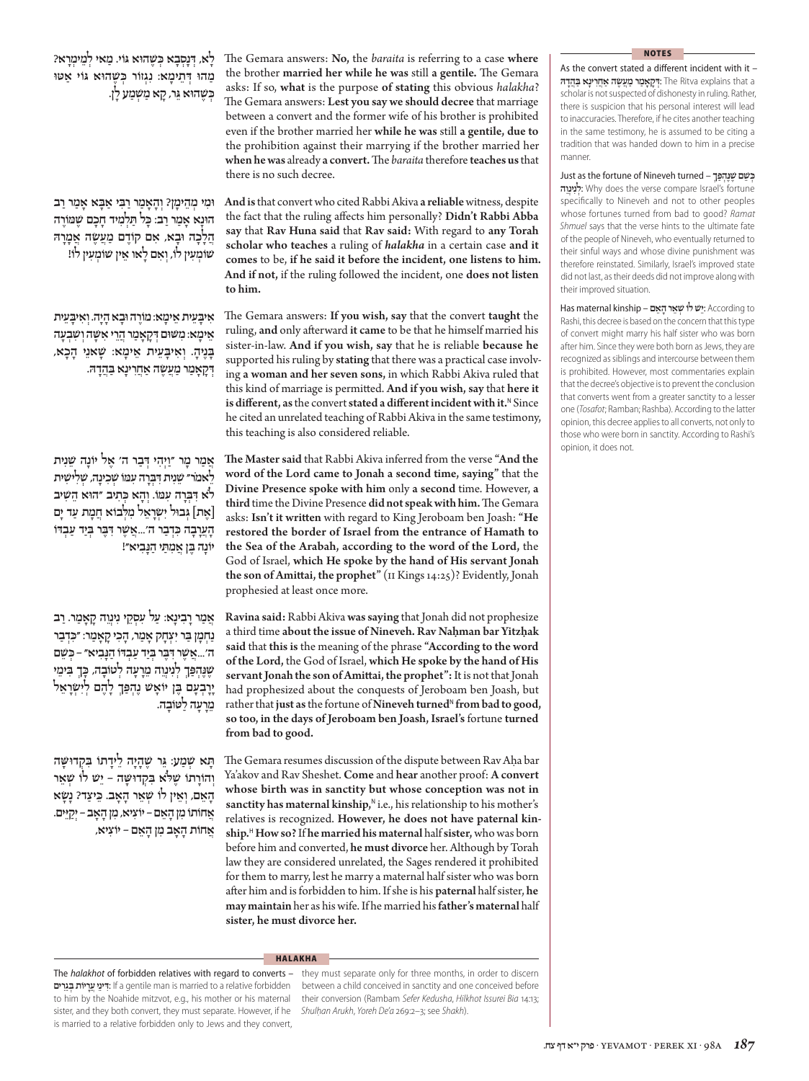**ּכֶׁש ּהוא ּגוֹי. ַמאי ְלֵמ ְימָרא? ָלא, ְ ּדָנְסָבא ְ ּכ ֶׁש ּהוא ּגוֹי ַא ּטּו ַמ ּהו ְ ּדֵת ָימא: ִנְגזוֹר ְ ּכֶׁש ּהואֵּגר, ָקא ַמׁ ְשַמע ָלן. ְ**

**ּו ִמי ְמֵה ָימן? ְוָהָאַמרַרִּבי ַאָּבא ָאַמרַרב ּכל ַּתְל ִמיד ָחָכם ֶׁשּמֶוֹרה ּהוָנא ָאַמרַרב: ָ ֲהָלָכה ּוָבא, ִאם ֶקוֹדם ַמֲע ֶׂשה ֲאָמָרּה ׁש ְוֹמ ִעין לוֹ, ְו ִאם ָלאו ֵאין ׁש ְוֹמ ִעין לוֹ!** 

**ִא ָּיבֵעית ֵא ָימא: ֶמוֹרה ּוָבא ָהָיה. ְו ִא ָּיבֵעית ֵא ָימא: ִמּׁשּום ְ ּדָקָאַמרֲהֵרי ִאָּׁשה ְו ׁ ִשְבָעה ָּבֶנ ָיה. ְו ִא ָּיבֵעית ֵא ָימא: ָׁש ֵאני ָהָכא, ְ ּדָקָאַמר ַמֲע ֶׂשה ַאֲחִרָינא ַּבֲהָד ּה.**

**ֲאַמר ָמר ַ״וְי ִהי ְ ּדַבר ה׳ ֶאל ָ יוֹנה ֵׁשִנית ֵלאמֹר״ ֵׁשִנית ִ ּד ְּבָרה ִע ּמוֹ ׁ ְשִכ ָינה, ׁ ְשִל ׁ ִ ישית ּכ ִתיב ּ ״הוא ֵהׁ ִשיב לֹא ִ ּד ְּבָרה ִע ּמוֹ. ְוָהא ְ ּלבוֹא ֲחָמת ַעד ָים [ֶאת] ְּג ּבול ִי ְׂשָרֵאל ִמְ ּכְדַבר ה׳...ֲאֶׁשר ִ ּדֶּבר ְּבַיד ַע ְב ּדוֹ ָהֲעָרָבה ִ ָ יוֹנה ֶּבן ֲא ִמ ַּתי ַהָּנ ִביא״!** 

**ֲאַמרָרִב ָינא: ַעל ִע ְסֵקי ִנ ְינֵוה ָקָאַמר. ַרב ּ״כְדַבר ַנ ְחָמן ַּבר ִי ְצָחק ָאַמר, ָה ִכי ָקָאַמר: ִ ּכֵׁשם ה׳...ֲאֶׁשר ִ ּדֶּבר ְּבַיד ַע ְב ּדוֹ ַהָּנִביא״ – ְ ּכ ְך ִּב ֵימי ֶׁשֶּנְהַּפ ְך ְלִנ ְינֵוה ֵמָרָעה ְל ָטוֹבה, ָ ָיָרְבָעם ֶּבן ָ יוֹאׁש ֶנ ְה ַּפ ְך ָלֶהם ְלִי ְׂשָרֵאל ֵמָרָעה ַל ּט ָוֹבה.**

**ָּתא ׁ ְשַמע: ֵּגר ֶׁשָהָיה ֵל ָידתוֹ ִּב ְק ּדו ָּׁשה ְו ָהוֹרתוֹ ֶׁש ּלֹא ִּב ְק ּדו ָּׁשה – ֵי ׁש לוֹ ׁ ְשֵאר ּכ ַיצד? ָנָׂשא ָהֵאם, ְוֵאין לוֹ ׁ ְשֵאר ָהָאב. ֵ ֲאחוֹתוֹ ִמן ָהֵאם – ִ יוֹציא, ִמן ָהָאב – ְיַקֵיּים. ֲאחוֹת ָהָאב ִמן ָהֵאם – ִ יוֹציא,** The Gemara answers: No, the *baraita* is referring to a case where the brother married her while he was still a gentile. The Gemara asks: If so, **what** is the purpose **of stating** this obvious *halakha*? The Gemara answers: Lest you say we should decree that marriage between a convert and the former wife of his brother is prohibited even if the brother married her **while he was** still **a gentile, due to**  the prohibition against their marrying if the brother married her when he was already a convert. The *baraita* therefore teaches us that there is no such decree.

**And is** that convertwho cited Rabbi Akiva **a reliable** witness, despite the fact that the ruling affects him personally? Didn't Rabbi Abba **say** that **Rav Huna said** that **Rav said:** With regard to **any Torah scholar who teaches** a ruling of *halakha* in a certain case **and it comes** to be, **if he said it before the incident, one listens to him. And if not,** if the ruling followed the incident, one **does not listen to him.**

The Gemara answers: If you wish, say that the convert taught the ruling, and only afterward it came to be that he himself married his sister-in-law. **And if you wish, say** that he is reliable **because he**  supported his ruling by **stating** that there was a practical case involving **a woman and her seven sons,** in which Rabbi Akiva ruled that this kind of marriage is permitt ed. **And if you wish, say** that **here it**  is different, as the convert stated a different incident with it.<sup>N</sup> Since he cited an unrelated teaching of Rabbi Akiva in the same testimony, this teaching is also considered reliable.

**Th e Master said** that Rabbi Akiva inferred from the verse **"And the word of the Lord came to Jonah a second time, saying"** that the **Divine Presence spoke with him** only **a second** time. However, **a**  third time the Divine Presence did not speak with him. The Gemara asks: Isn't it written with regard to King Jeroboam ben Joash: "He **restored the border of Israel from the entrance of Hamath to the Sea of the Arabah, according to the word of the Lord,** the God of Israel, **which He spoke by the hand of His servant Jonah the son of Amittai, the prophet"** (II Kings 14:25)? Evidently, Jonah prophesied at least once more.

**Ravina said:** Rabbi Akiva **was saying** that Jonah did not prophesize a third time **about the issue of Nineveh. Rav Naĥman bar Yitzĥak said** that **this is** the meaning of the phrase **"According to the word of the Lord,** the God of Israel, **which He spoke by the hand of His servant Jonah the son of Amitt ai, the prophet":** It is not that Jonah had prophesized about the conquests of Jeroboam ben Joash, but rather that just as the fortune of Nineveh turned<sup>N</sup> from bad to good, **so too, in the days of Jeroboam ben Joash, Israel's** fortune **turned from bad to good.** 

The Gemara resumes discussion of the dispute between Rav Aha bar Ya'akov and Rav Sheshet. **Come** and **hear** another proof: **A convert whose birth was in sanctity but whose conception was not in**  sanctity has maternal kinship,<sup>N</sup> i.e., his relationship to his mother's relatives is recognized. **However, he does not have paternal kinship.**<sup>H</sup>**How so?** If **he married his maternal** half**sister,** who was born before him and converted, **he must divorce** her. Although by Torah law they are considered unrelated, the Sages rendered it prohibited for them to marry, lest he marry a maternal half sister who was born aft er him and is forbidden to him. If she is his **paternal** half sister, **he may maintain** her as his wife. If he married his **father's maternal** half **sister, he must divorce her.** 

#### **HALAKHA**

 The *halakhot* of forbidden relatives with regard to converts – **ריםִגֵבְּ ריוֹתָעֲיניֵ דּ ִ**: If a gentile man is married to a relative forbidden to him by the Noahide mitzvot, e.g., his mother or his maternal sister, and they both convert, they must separate. However, if he is married to a relative forbidden only to Jews and they convert,

they must separate only for three months, in order to discern between a child conceived in sanctity and one conceived before their conversion (Rambam *Sefer Kedusha*, *Hilkhot Issurei Bia* 14:13; *Shulĥan Arukh*, *Yoreh De'a* 269:2–3; see *Shakh*).

**NOTES**

 As the convert stated a different incident with it – a that explains Ritva The **ְ**: **ּדָקָאַמר ַמֲעֶׂשה ַאֲחִרָינא ַּבֲהָד ּה** scholar is not suspected of dishonesty in ruling. Rather, there is suspicion that his personal interest will lead to inaccuracies. Therefore, if he cites another teaching in the same testimony, he is assumed to be citing a tradition that was handed down to him in a precise manner.

*ـּ***כְּשֵׁם שֵׁנֵהְפַּךְ – Just as the fortune of Nineveh turned ְ והֵינְ נִלְ** : Why does the verse compare Israel's fortune specifically to Nineveh and not to other peoples whose fortunes turned from bad to good? *Ramat Shmuel* says that the verse hints to the ultimate fate of the people of Nineveh, who eventually returned to their sinful ways and whose divine punishment was therefore reinstated. Similarly, Israel's improved state did not last, as their deeds did not improve along with their improved situation.

 to According **ֵ**:**יׁשלוֹ ׁ ְשֵאר ָהֵאם** – kinship maternal Has Rashi, this decree is based on the concern that this type of convert might marry his half sister who was born after him. Since they were both born as Jews, they are recognized as siblings and intercourse between them is prohibited. However, most commentaries explain that the decree's objective is to prevent the conclusion that converts went from a greater sanctity to a lesser one (*Tosafot*; Ramban; Rashba). According to the latter opinion, this decree applies to all converts, not only to those who were born in sanctity. According to Rashi's opinion, it does not.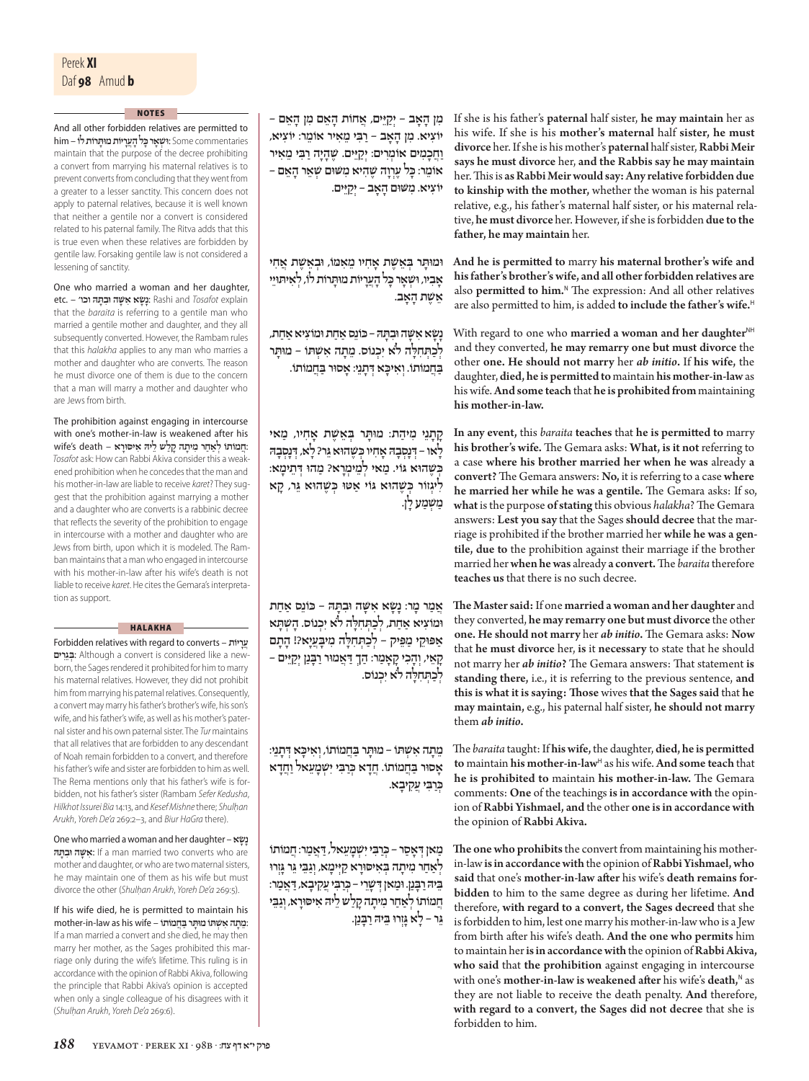# Perek **XI** Daf **98** Amud **b**

## **NOTES**

 And all other forbidden relatives are permitted to commentaries Some **ּ**:**וׁ ְשָארָּכל ָהֲעָריוֹת ּמו ָּתרוֹתלוֹ** – him maintain that the purpose of the decree prohibiting a convert from marrying his maternal relatives is to prevent converts from concluding that they went from a greater to a lesser sanctity. This concern does not apply to paternal relatives, because it is well known that neither a gentile nor a convert is considered related to his paternal family. The Ritva adds that this is true even when these relatives are forbidden by gentile law. Forsaking gentile law is not considered a lessening of sanctity.

 One who married a woman and her daughter, explain *Tosafot* and Rashi **ָ**:**נָׂשא ִאָּׁשה ּוִב ָּת ּה וכו׳** – .etc that the *baraita* is referring to a gentile man who married a gentile mother and daughter, and they all subsequently converted. However, the Rambam rules that this *halakha* applies to any man who marries a mother and daughter who are converts. The reason he must divorce one of them is due to the concern that a man will marry a mother and daughter who are Jews from birth.

 The prohibition against engaging in intercourse with one's mother-in-law is weakened after his **ֲ**:**חמוֹתוֹ ְלַאַחר ִמ ָיתה ָקַלשׁ ֵל ּיה ִא ּיסּוָרא** – death s'wife *Tosafot* ask: How can Rabbi Akiva consider this a weakened prohibition when he concedes that the man and his mother-in-law are liable to receive *karet*? They suggest that the prohibition against marrying a mother and a daughter who are converts is a rabbinic decree that reflects the severity of the prohibition to engage in intercourse with a mother and daughter who are Jews from birth, upon which it is modeled. The Ramban maintains that a man who engaged in intercourse with his mother-in-law after his wife's death is not liable to receive *karet*. He cites the Gemara's interpretation as support.

### **HALAKHA**

 Forbidden relatives with regard to converts – **ריוֹתָעֲ ריםִגֵבְּ** : Although a convert is considered like a newborn, the Sages rendered it prohibited for him to marry his maternal relatives. However, they did not prohibit him from marrying his paternal relatives. Consequently, a convert may marry his father's brother's wife, his son's wife, and his father's wife, as well as his mother's paternal sister and his own paternal sister. The *Tur* maintains that all relatives that are forbidden to any descendant of Noah remain forbidden to a convert, and therefore his father's wife and sister are forbidden to him as well. The Rema mentions only that his father's wife is forbidden, not his father's sister (Rambam *Sefer Kedusha*, *Hilkhot Issurei Bia* 14:13, and *Kesef Mishne* there; *Shulĥan Arukh*, *Yoreh De'a* 269:2–3, and *Biur HaGra* there).

 One who married a woman and her daughter – **שאָׂנָ הּ תָּ בִוּ שהָּׁאִ** : If a man married two converts who are mother and daughter, or who are two maternal sisters, he may maintain one of them as his wife but must divorce the other (*Shulĥan Arukh*, *Yoreh De'a* 269:5).

 If his wife died, he is permitted to maintain his **ֵ**:**מָתה ִאׁ ְשּתוֹ ּמו ָּתר ַּבֲחמוֹתוֹ** – wife his as law-in-mother If a man married a convert and she died, he may then marry her mother, as the Sages prohibited this marriage only during the wife's lifetime. This ruling is in accordance with the opinion of Rabbi Akiva, following the principle that Rabbi Akiva's opinion is accepted when only a single colleague of his disagrees with it (*Shulĥan Arukh*, *Yoreh De'a* 269:6).

**ִמן ָהָאב – ְיַקֵיּים, ֲאחוֹת ָהֵאם ִמן ָהֵאם – ִ יוֹציא. ִמן ָהָאב – ַרִּבי ֵמ ִאיר ֵאוֹמר: ִ יוֹציא, ַוֲחָכ ִמים ְאוֹמִרים: ְיַקֵיּים. ֶׁשָהָיה ַרִּבי ֵמ ִאיר ּכל ֶעְרָוה ֶׁש ִהיא ִמּׁשּום ׁ ְשֵאר ָהֵאם – ֵאוֹמר: ָ ִ יוֹציא. ִמּׁשּום ָהָאב – ְיַקֵיּים.** 

**ּו ּמו ָּתר ְּבֵאֶׁשת ָא ִחיו ֵמ ִא ּמוֹ, ּוְבֵאֶׁשת ֲא ִחי ּכל ָהֲעָריוֹת ּמו ָּתרוֹת לוֹ, ְל ִא ּיתּוֵיי ָא ִביו, ּו ׁ ְשָארָ ֵאֶׁשת ָהָאב.** 

**ָנָׂשא ִאָּׁשה ּוִב ָּת ּה – ּכ ֵוֹנס ַאַחת ּו ִמוֹציא ַאַחת, ְלַכ ְּת ִחָּלה לֹא ִי ְכנוֹס. ֵמָתה ִאׁ ְשּתוֹ – ּמו ָּתר ּיכא ְ ּדָתֵני: ָא ּסור ַּבֲחמוֹתוֹ. ַּבֲחמוֹתוֹ. ְו ִא ָ**

**ָקָתֵני ִמ ַיהת: ּמו ָּתר ְּבֵא ֶׁשת ָא ִחיו, ַמאי ּכֶׁש ּהואֵּגר? ָלא, ְ ּדָנְסָב ּה ָלאו – ְ ּדָנְסָב ּה ָא ִחיו ְ ּכֶׁש ּהוא ּגוֹי. ַמאי ְלֵמ ְימָרא? ַמ ּהו ְ ּדֵת ָימא: ְ ּכ ֶׁש ּהוא ֵּגר, ָקא ּכ ֶׁש ּהוא ּגוֹי ַא ּטּו ְ ִל ְיגזוֹר ְ ַמׁ ְשַמע ָלן.**

**ֲאַמר ָמר: ָנָׂשא ִאָּׁשה ּוִב ָּת ּה – ּכ ֵוֹנס ַאַחת ּו ִמוֹציא ַאַחת, ְלַכ ְּת ִחָּלה לֹא ִי ְכנוֹס. ָהׁ ְשָּתא ּלה ִמ ָּיבֲעָיא?! ָהָתם ַאּפּוֵקי ַמֵּפיק – ְלַכ ְּת ִחָ ָקֵאי, ְוָה ִכי ָקָאַמר: ַה ְך ַּדֲא ּמורַרָּבַנן ְיַקֵיּים – ְלַכ ְּת ִחָּלה לֹא ִי ְכנוֹס.** 

**ּיכא ְ ּדָתֵני: ֵמָתה ִאׁ ְשּתוֹ – ּמו ָּתר ַּבֲחמוֹתוֹ, ְו ִא ָ ּכַרִּבי ִיׁ ְשָמֵעאלַוֲחָדא ָא ּסור ַּבֲחמוֹתוֹ. ֲחָדא ְ ּכַרִּביֲעִק ָיבא. ְ**

**ּכַרִּבי ִיׁ ְשָמֵעאל, ַּדֲאַמר: ֲחמוֹתוֹ ַמאן ְ ּדָאַסר – ְ ְלַאַחר ִמ ָיתה ְּב ִא ּיסּוָרא ַקְיּ ָימא, ְוַגֵּבי ֵּגרָּגְז ּרו ּכַרִּביֲעִק ָיבא, ַּדֲאַמר: ֵּב ּיהַרָּבַנן. ּוַמאן ְ ּד ָׁשֵרי – ְ ֲחמוֹתוֹ ְלַאַחר ִמ ָיתהָקַלשֵׁל ּיה ִא ּיסּוָרא, ְוַגֵּבי ֵּגר – ָלאָּגְז ּרו ֵּב ּיהַרָּבַנן.** If she is his father's **paternal** half sister, **he may maintain** her as his wife. If she is his **mother's maternal** half **sister, he must divorce** her. If she is his mother's **paternal** half sister, **Rabbi Meir says he must divorce** her, **and the Rabbis say he may maintain**  her. This is as Rabbi Meir would say: Any relative forbidden due **to kinship with the mother,** whether the woman is his paternal relative, e.g., his father's maternal half sister, or his maternal relative, **he must divorce** her. However, if she is forbidden **due to the father, he may maintain** her.

And he is permitted to marry his maternal brother's wife and **his father's brother's wife, and all other forbidden relatives are**  also **permitted to him.**<sup>N</sup> The expression: And all other relatives are also permitted to him, is added to include the father's wife.<sup>H</sup>

With regard to one who married a woman and her daughter<sup>NH</sup> and they converted, **he may remarry one but must divorce** the other **one. He should not marry** her *ab initio***.** If **his wife,** the daughter, **died, he is permitt ed to** maintain **his mother-in-law** as his wife. **And some teach** that **he is prohibited from** maintaining **his mother-in-law.**

In any event, this *baraita* teaches that he is permitted to marry his brother's wife. The Gemara asks: What, is it not referring to a case **where his brother married her when he was** already **a**  convert? The Gemara answers: No, it is referring to a case where he married her while he was a gentile. The Gemara asks: If so, what is the purpose of stating this obvious *halakha*? The Gemara answers: **Lest you say** that the Sages **should decree** that the marriage is prohibited if the brother married her **while he was a gentile, due to** the prohibition against their marriage if the brother married her when he was already a convert. The *baraita* therefore **teaches us** that there is no such decree.

**Th e Master said:** If one **married a woman and her daughter** and they converted, **he may remarry one but must divorce** the other **one. He should not marry her** *ab initio*. The Gemara asks: Now that **he must divorce** her, **is** it **necessary** to state that he should not marry her *ab initio*? The Gemara answers: That statement is **standing there,** i.e., it is referring to the previous sentence, **and this is what it is saying: Th ose** wives **that the Sages said** that **he may maintain,** e.g., his paternal half sister, **he should not marry**  them *ab initio***.**

The *baraita* taught: If his wife, the daughter, died, he is permitted **to** maintain **his mother-in-law**<sup>H</sup>as his wife. **And some teach** that he is prohibited to maintain his mother-in-law. The Gemara comments: **One** of the teachings **is in accordance with** the opinion of **Rabbi Yishmael, and** the other **one is in accordance with**  the opinion of **Rabbi Akiva.**

**Th e one who prohibits** the convert from maintaining his motherin-law**is in accordance with** the opinion of**Rabbi Yishmael, who**  said that one's mother-in-law after his wife's death remains for**bidden** to him to the same degree as during her lifetime. **And**  therefore, **with regard to a convert, the Sages decreed** that she is forbidden to him, lest one marry his mother-in-lawwho is a Jew from birth after his wife's death. And the one who permits him to maintain her **is in accordance with** the opinion of**Rabbi Akiva, who said** that **the prohibition** against engaging in intercourse with one's **mother-in-law is weakened after** his wife's death,<sup>N</sup> as they are not liable to receive the death penalty. **And** therefore, **with regard to a convert, the Sages did not decree** that she is forbidden to him.